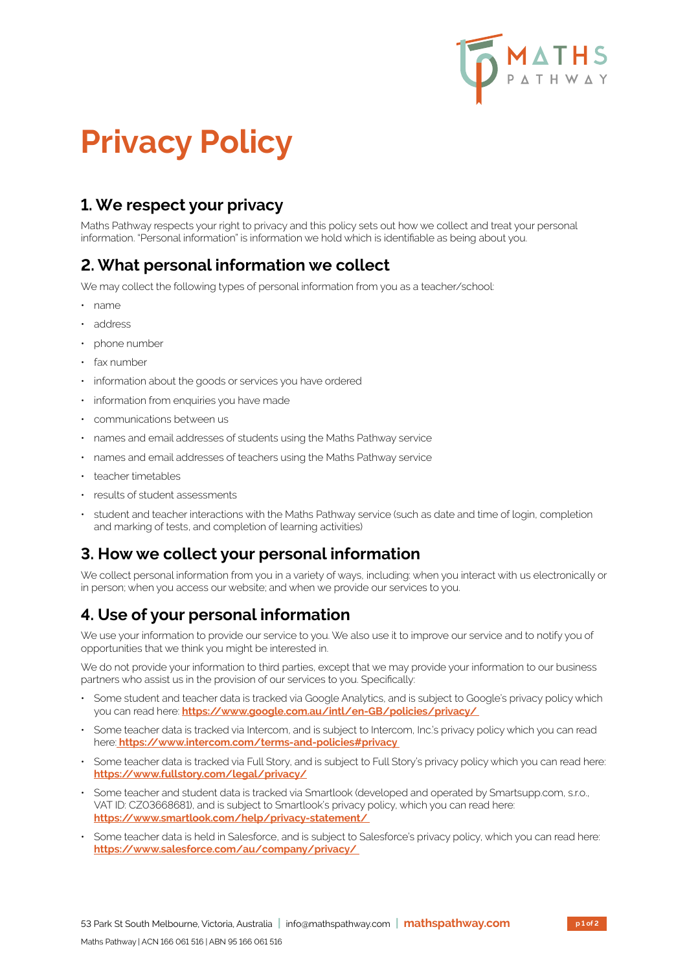

# **Privacy Policy**

# **1. We respect your privacy**

Maths Pathway respects your right to privacy and this policy sets out how we collect and treat your personal information. "Personal information" is information we hold which is identifiable as being about you.

## **2. What personal information we collect**

We may collect the following types of personal information from you as a teacher/school:

- name
- address
- phone number
- fax number
- information about the goods or services you have ordered
- information from enquiries you have made
- communications between us
- names and email addresses of students using the Maths Pathway service
- names and email addresses of teachers using the Maths Pathway service
- teacher timetables
- results of student assessments
- student and teacher interactions with the Maths Pathway service (such as date and time of login, completion and marking of tests, and completion of learning activities)

#### **3. How we collect your personal information**

We collect personal information from you in a variety of ways, including: when you interact with us electronically or in person; when you access our website; and when we provide our services to you.

## **4. Use of your personal information**

We use your information to provide our service to you. We also use it to improve our service and to notify you of opportunities that we think you might be interested in.

We do not provide your information to third parties, except that we may provide your information to our business partners who assist us in the provision of our services to you. Specifically:

- Some student and teacher data is tracked via Google Analytics, and is subject to Google's privacy policy which you can read here: **https://www.google.com.au/intl/en-GB/policies/privacy/**
- Some teacher data is tracked via Intercom, and is subject to Intercom, Inc.'s privacy policy which you can read here: **https://www.intercom.com/terms-and-policies#privacy**
- Some teacher data is tracked via Full Story, and is subject to Full Story's privacy policy which you can read here: **https://www.fullstory.com/legal/privacy/**
- Some teacher and student data is tracked via Smartlook (developed and operated by Smartsupp.com, s.r.o., VAT ID: CZ03668681), and is subject to Smartlook's privacy policy, which you can read here: **https://www.smartlook.com/help/privacy-statement/**
- Some teacher data is held in Salesforce, and is subject to Salesforce's privacy policy, which you can read here: **https://www.salesforce.com/au/company/privacy/**